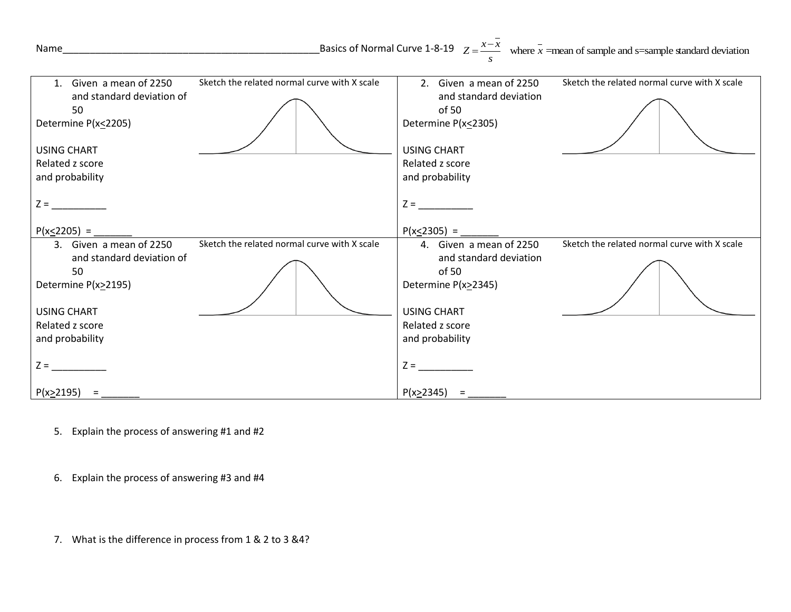| Name                                                                                                                                                                                                      | Basics of Normal Curve 1-8-19 $Z = \frac{x - x}{x}$ where $\bar{x}$ =mean of sample and s=sample standard deviation                                                                                    |
|-----------------------------------------------------------------------------------------------------------------------------------------------------------------------------------------------------------|--------------------------------------------------------------------------------------------------------------------------------------------------------------------------------------------------------|
| Sketch the related normal curve with X scale<br>1. Given a mean of 2250<br>and standard deviation of<br>50<br>Determine P(x<2205)<br><b>USING CHART</b><br>Related z score<br>and probability<br>$Z = \_$ | Sketch the related normal curve with X scale<br>2. Given a mean of 2250<br>and standard deviation<br>of 50<br>Determine P(x<2305)<br><b>USING CHART</b><br>Related z score<br>and probability<br>$Z =$ |
| $P(x \le 2205) =$                                                                                                                                                                                         | $P(x \le 2305) =$                                                                                                                                                                                      |
| Sketch the related normal curve with X scale<br>3. Given a mean of 2250<br>and standard deviation of<br>50<br>Determine P(x>2195)<br><b>USING CHART</b><br>Related z score<br>and probability<br>$Z = \_$ | Sketch the related normal curve with X scale<br>4. Given a mean of 2250<br>and standard deviation<br>of 50<br>Determine P(x>2345)<br><b>USING CHART</b><br>Related z score<br>and probability<br>$Z =$ |
| $P(x \ge 2195) =$                                                                                                                                                                                         | P(x>2345)<br>$=$                                                                                                                                                                                       |

5. Explain the process of answering #1 and #2

6. Explain the process of answering #3 and #4

7. What is the difference in process from 1 & 2 to 3 &4?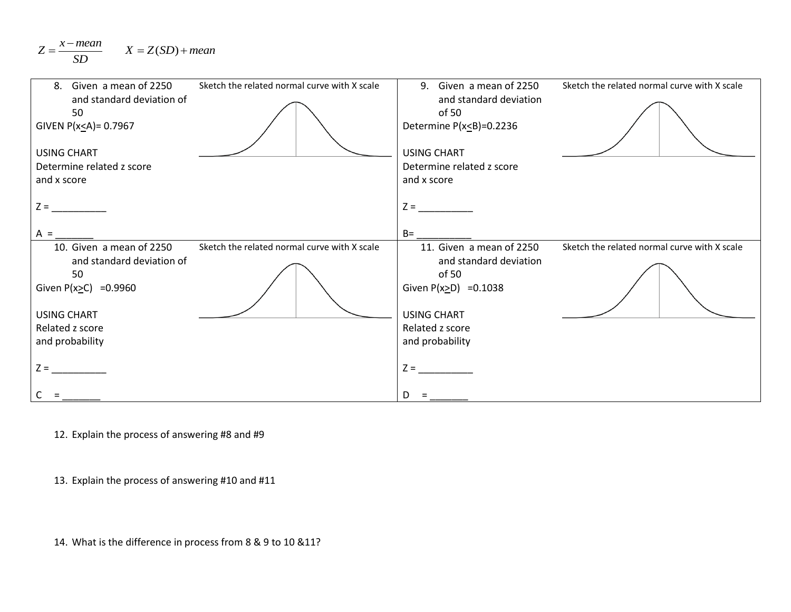$$
Z = \frac{x - mean}{SD} \qquad X = Z(SD) + mean
$$

| Given a mean of 2250<br>.8.<br>and standard deviation of<br>50<br>GIVEN $P(x \leq A) = 0.7967$<br><b>USING CHART</b><br>Determine related z score<br>and x score | Sketch the related normal curve with X scale | 9. Given a mean of 2250<br>and standard deviation<br>of 50<br>Determine $P(x \leq B) = 0.2236$<br><b>USING CHART</b><br>Determine related z score<br>and x score | Sketch the related normal curve with X scale |
|------------------------------------------------------------------------------------------------------------------------------------------------------------------|----------------------------------------------|------------------------------------------------------------------------------------------------------------------------------------------------------------------|----------------------------------------------|
| $Z =$<br>$A =$<br>10. Given a mean of 2250                                                                                                                       | Sketch the related normal curve with X scale | $Z =$<br>$B=$<br>11. Given a mean of 2250                                                                                                                        | Sketch the related normal curve with X scale |
| and standard deviation of<br>50<br>Given $P(x \ge C) = 0.9960$<br><b>USING CHART</b>                                                                             |                                              | and standard deviation<br>of 50<br>Given $P(x>D) = 0.1038$<br><b>USING CHART</b>                                                                                 |                                              |
| Related z score<br>and probability                                                                                                                               |                                              | Related z score<br>and probability                                                                                                                               |                                              |
| $Z =$                                                                                                                                                            |                                              | $Z =$<br>D                                                                                                                                                       |                                              |

12. Explain the process of answering #8 and #9

13. Explain the process of answering #10 and #11

14. What is the difference in process from 8 & 9 to 10 &11?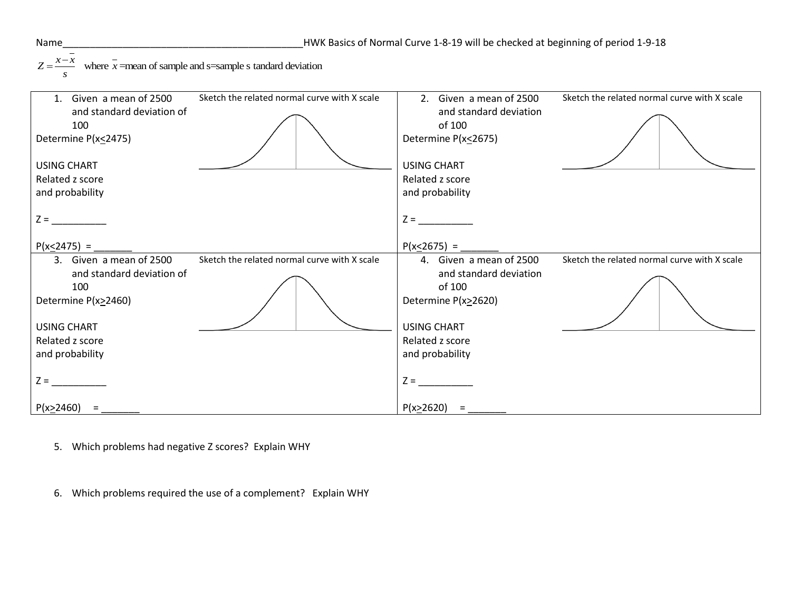where =mean of sample and s=sample s tandard deviation *x x Z x s*  $=\frac{x-}{x-}$ 

| 1. Given a mean of 2500    | Sketch the related normal curve with X scale | 2. Given a mean of 2500 | Sketch the related normal curve with X scale |
|----------------------------|----------------------------------------------|-------------------------|----------------------------------------------|
| and standard deviation of  |                                              | and standard deviation  |                                              |
| 100                        |                                              | of 100                  |                                              |
| Determine P(x<2475)        |                                              | Determine P(x<2675)     |                                              |
| USING CHART                |                                              | <b>USING CHART</b>      |                                              |
| Related z score            |                                              | Related z score         |                                              |
| and probability            |                                              | and probability         |                                              |
|                            |                                              |                         |                                              |
| $Z =$                      |                                              | $Z =$                   |                                              |
| $P(x \le 2475) =$          |                                              | $P(x < 2675) =$         |                                              |
| 3. Given a mean of 2500    | Sketch the related normal curve with X scale | 4. Given a mean of 2500 | Sketch the related normal curve with X scale |
| and standard deviation of  |                                              | and standard deviation  |                                              |
| 100<br>Determine P(x>2460) |                                              | of 100                  |                                              |
|                            |                                              |                         |                                              |
|                            |                                              | Determine P(x>2620)     |                                              |
| <b>USING CHART</b>         |                                              | <b>USING CHART</b>      |                                              |
| Related z score            |                                              | Related z score         |                                              |
| and probability            |                                              | and probability         |                                              |
|                            |                                              |                         |                                              |
| $Z =$                      |                                              | $Z =$                   |                                              |

- 5. Which problems had negative Z scores? Explain WHY
- 6. Which problems required the use of a complement? Explain WHY